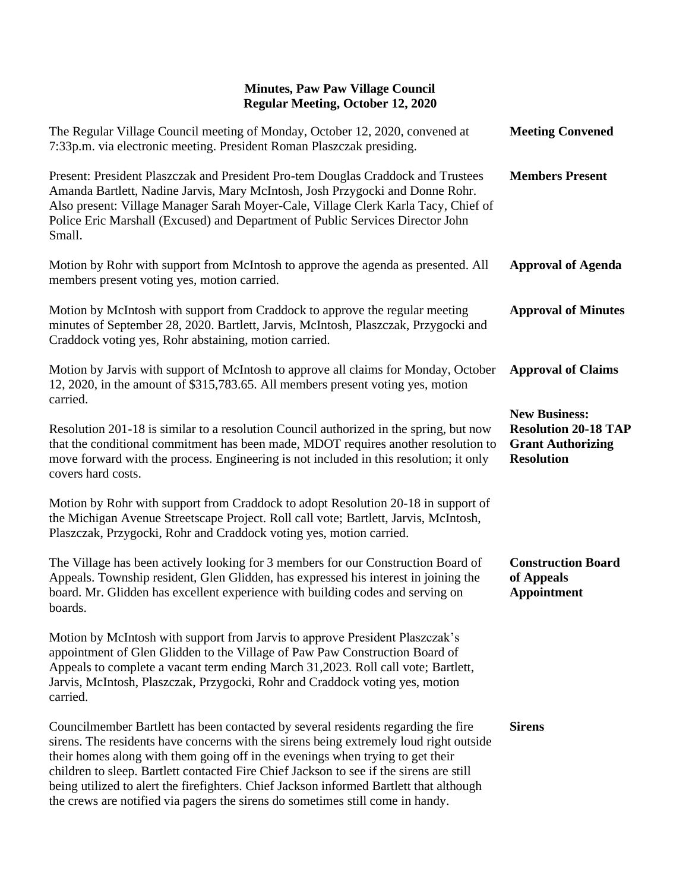| The Regular Village Council meeting of Monday, October 12, 2020, convened at<br>7:33p.m. via electronic meeting. President Roman Plaszczak presiding.                                                                                                                                                                                                                                                                                                                                                                                 | <b>Meeting Convened</b>                                                                              |
|---------------------------------------------------------------------------------------------------------------------------------------------------------------------------------------------------------------------------------------------------------------------------------------------------------------------------------------------------------------------------------------------------------------------------------------------------------------------------------------------------------------------------------------|------------------------------------------------------------------------------------------------------|
| Present: President Plaszczak and President Pro-tem Douglas Craddock and Trustees<br>Amanda Bartlett, Nadine Jarvis, Mary McIntosh, Josh Przygocki and Donne Rohr.<br>Also present: Village Manager Sarah Moyer-Cale, Village Clerk Karla Tacy, Chief of<br>Police Eric Marshall (Excused) and Department of Public Services Director John<br>Small.                                                                                                                                                                                   | <b>Members Present</b>                                                                               |
| Motion by Rohr with support from McIntosh to approve the agenda as presented. All<br>members present voting yes, motion carried.                                                                                                                                                                                                                                                                                                                                                                                                      | <b>Approval of Agenda</b>                                                                            |
| Motion by McIntosh with support from Craddock to approve the regular meeting<br>minutes of September 28, 2020. Bartlett, Jarvis, McIntosh, Plaszczak, Przygocki and<br>Craddock voting yes, Rohr abstaining, motion carried.                                                                                                                                                                                                                                                                                                          | <b>Approval of Minutes</b>                                                                           |
| Motion by Jarvis with support of McIntosh to approve all claims for Monday, October<br>12, 2020, in the amount of \$315,783.65. All members present voting yes, motion<br>carried.                                                                                                                                                                                                                                                                                                                                                    | <b>Approval of Claims</b>                                                                            |
| Resolution 201-18 is similar to a resolution Council authorized in the spring, but now<br>that the conditional commitment has been made, MDOT requires another resolution to<br>move forward with the process. Engineering is not included in this resolution; it only<br>covers hard costs.                                                                                                                                                                                                                                          | <b>New Business:</b><br><b>Resolution 20-18 TAP</b><br><b>Grant Authorizing</b><br><b>Resolution</b> |
| Motion by Rohr with support from Craddock to adopt Resolution 20-18 in support of<br>the Michigan Avenue Streetscape Project. Roll call vote; Bartlett, Jarvis, McIntosh,<br>Plaszczak, Przygocki, Rohr and Craddock voting yes, motion carried.                                                                                                                                                                                                                                                                                      |                                                                                                      |
| The Village has been actively looking for 3 members for our Construction Board of<br>Appeals. Township resident, Glen Glidden, has expressed his interest in joining the<br>board. Mr. Glidden has excellent experience with building codes and serving on<br>boards.                                                                                                                                                                                                                                                                 | <b>Construction Board</b><br>of Appeals<br><b>Appointment</b>                                        |
| Motion by McIntosh with support from Jarvis to approve President Plaszczak's<br>appointment of Glen Glidden to the Village of Paw Paw Construction Board of<br>Appeals to complete a vacant term ending March 31,2023. Roll call vote; Bartlett,<br>Jarvis, McIntosh, Plaszczak, Przygocki, Rohr and Craddock voting yes, motion<br>carried.                                                                                                                                                                                          |                                                                                                      |
| Councilmember Bartlett has been contacted by several residents regarding the fire<br>sirens. The residents have concerns with the sirens being extremely loud right outside<br>their homes along with them going off in the evenings when trying to get their<br>children to sleep. Bartlett contacted Fire Chief Jackson to see if the sirens are still<br>being utilized to alert the firefighters. Chief Jackson informed Bartlett that although<br>the crews are notified via pagers the sirens do sometimes still come in handy. | <b>Sirens</b>                                                                                        |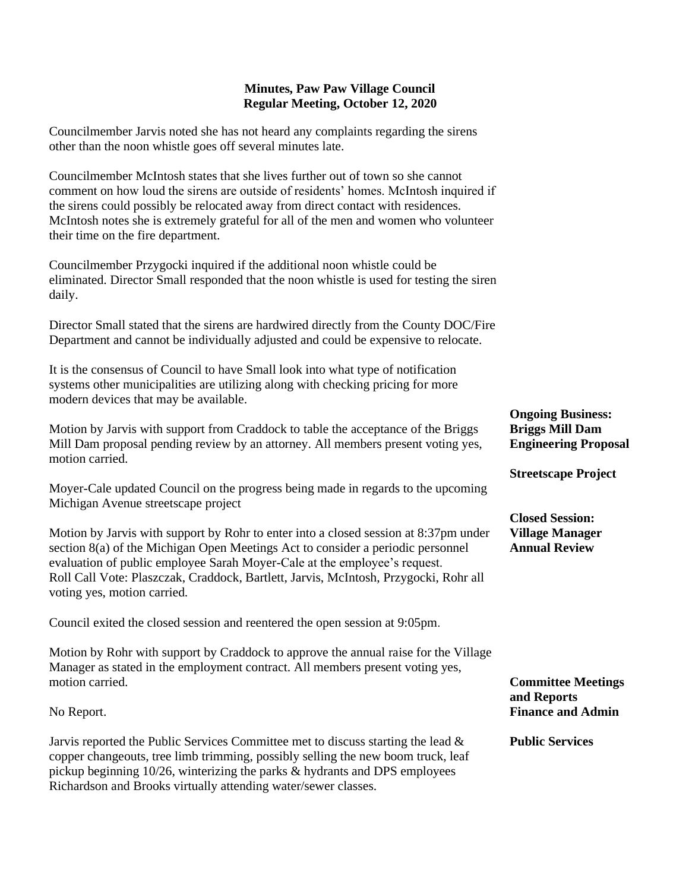Councilmember Jarvis noted she has not heard any complaints regarding the sirens other than the noon whistle goes off several minutes late.

Councilmember McIntosh states that she lives further out of town so she cannot comment on how loud the sirens are outside of residents' homes. McIntosh inquired if the sirens could possibly be relocated away from direct contact with residences. McIntosh notes she is extremely grateful for all of the men and women who volunteer their time on the fire department.

Councilmember Przygocki inquired if the additional noon whistle could be eliminated. Director Small responded that the noon whistle is used for testing the siren daily.

Director Small stated that the sirens are hardwired directly from the County DOC/Fire Department and cannot be individually adjusted and could be expensive to relocate.

It is the consensus of Council to have Small look into what type of notification systems other municipalities are utilizing along with checking pricing for more modern devices that may be available.

Motion by Jarvis with support from Craddock to table the acceptance of the Briggs Mill Dam proposal pending review by an attorney. All members present voting yes, motion carried.

Moyer-Cale updated Council on the progress being made in regards to the upcoming Michigan Avenue streetscape project

Motion by Jarvis with support by Rohr to enter into a closed session at 8:37pm under section 8(a) of the Michigan Open Meetings Act to consider a periodic personnel evaluation of public employee Sarah Moyer-Cale at the employee's request. Roll Call Vote: Plaszczak, Craddock, Bartlett, Jarvis, McIntosh, Przygocki, Rohr all voting yes, motion carried.

Council exited the closed session and reentered the open session at 9:05pm.

Motion by Rohr with support by Craddock to approve the annual raise for the Village Manager as stated in the employment contract. All members present voting yes, motion carried.

No Report.

Jarvis reported the Public Services Committee met to discuss starting the lead & copper changeouts, tree limb trimming, possibly selling the new boom truck, leaf pickup beginning 10/26, winterizing the parks & hydrants and DPS employees Richardson and Brooks virtually attending water/sewer classes.

**Ongoing Business: Briggs Mill Dam Engineering Proposal**

**Streetscape Project**

**Closed Session: Village Manager Annual Review**

**Committee Meetings and Reports Finance and Admin**

**Public Services**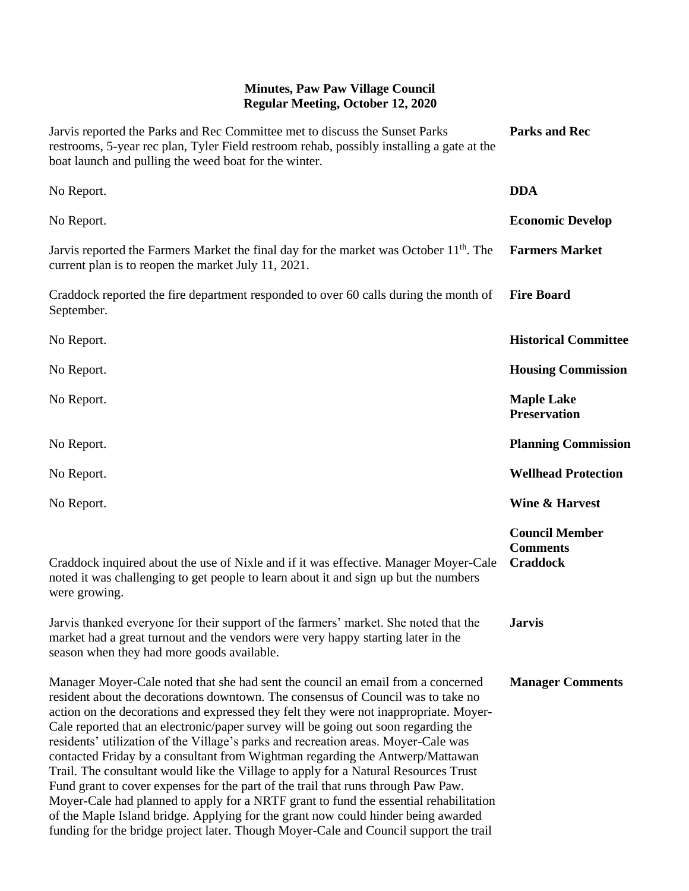| Jarvis reported the Parks and Rec Committee met to discuss the Sunset Parks<br>restrooms, 5-year rec plan, Tyler Field restroom rehab, possibly installing a gate at the<br>boat launch and pulling the weed boat for the winter.                                                                                                                                                                                                                                                                                                                                                                                                                                                                                                                                                                                                                                                                                                                                             | <b>Parks and Rec</b>                                        |
|-------------------------------------------------------------------------------------------------------------------------------------------------------------------------------------------------------------------------------------------------------------------------------------------------------------------------------------------------------------------------------------------------------------------------------------------------------------------------------------------------------------------------------------------------------------------------------------------------------------------------------------------------------------------------------------------------------------------------------------------------------------------------------------------------------------------------------------------------------------------------------------------------------------------------------------------------------------------------------|-------------------------------------------------------------|
| No Report.                                                                                                                                                                                                                                                                                                                                                                                                                                                                                                                                                                                                                                                                                                                                                                                                                                                                                                                                                                    | <b>DDA</b>                                                  |
| No Report.                                                                                                                                                                                                                                                                                                                                                                                                                                                                                                                                                                                                                                                                                                                                                                                                                                                                                                                                                                    | <b>Economic Develop</b>                                     |
| Jarvis reported the Farmers Market the final day for the market was October 11 <sup>th</sup> . The<br>current plan is to reopen the market July 11, 2021.                                                                                                                                                                                                                                                                                                                                                                                                                                                                                                                                                                                                                                                                                                                                                                                                                     | <b>Farmers Market</b>                                       |
| Craddock reported the fire department responded to over 60 calls during the month of<br>September.                                                                                                                                                                                                                                                                                                                                                                                                                                                                                                                                                                                                                                                                                                                                                                                                                                                                            | <b>Fire Board</b>                                           |
| No Report.                                                                                                                                                                                                                                                                                                                                                                                                                                                                                                                                                                                                                                                                                                                                                                                                                                                                                                                                                                    | <b>Historical Committee</b>                                 |
| No Report.                                                                                                                                                                                                                                                                                                                                                                                                                                                                                                                                                                                                                                                                                                                                                                                                                                                                                                                                                                    | <b>Housing Commission</b>                                   |
| No Report.                                                                                                                                                                                                                                                                                                                                                                                                                                                                                                                                                                                                                                                                                                                                                                                                                                                                                                                                                                    | <b>Maple Lake</b><br><b>Preservation</b>                    |
| No Report.                                                                                                                                                                                                                                                                                                                                                                                                                                                                                                                                                                                                                                                                                                                                                                                                                                                                                                                                                                    | <b>Planning Commission</b>                                  |
| No Report.                                                                                                                                                                                                                                                                                                                                                                                                                                                                                                                                                                                                                                                                                                                                                                                                                                                                                                                                                                    | <b>Wellhead Protection</b>                                  |
| No Report.                                                                                                                                                                                                                                                                                                                                                                                                                                                                                                                                                                                                                                                                                                                                                                                                                                                                                                                                                                    | Wine & Harvest                                              |
| Craddock inquired about the use of Nixle and if it was effective. Manager Moyer-Cale<br>noted it was challenging to get people to learn about it and sign up but the numbers<br>were growing.                                                                                                                                                                                                                                                                                                                                                                                                                                                                                                                                                                                                                                                                                                                                                                                 | <b>Council Member</b><br><b>Comments</b><br><b>Craddock</b> |
| Jarvis thanked everyone for their support of the farmers' market. She noted that the<br>market had a great turnout and the vendors were very happy starting later in the<br>season when they had more goods available.                                                                                                                                                                                                                                                                                                                                                                                                                                                                                                                                                                                                                                                                                                                                                        | Jarvis.                                                     |
| Manager Moyer-Cale noted that she had sent the council an email from a concerned<br>resident about the decorations downtown. The consensus of Council was to take no<br>action on the decorations and expressed they felt they were not inappropriate. Moyer-<br>Cale reported that an electronic/paper survey will be going out soon regarding the<br>residents' utilization of the Village's parks and recreation areas. Moyer-Cale was<br>contacted Friday by a consultant from Wightman regarding the Antwerp/Mattawan<br>Trail. The consultant would like the Village to apply for a Natural Resources Trust<br>Fund grant to cover expenses for the part of the trail that runs through Paw Paw.<br>Moyer-Cale had planned to apply for a NRTF grant to fund the essential rehabilitation<br>of the Maple Island bridge. Applying for the grant now could hinder being awarded<br>funding for the bridge project later. Though Moyer-Cale and Council support the trail | <b>Manager Comments</b>                                     |